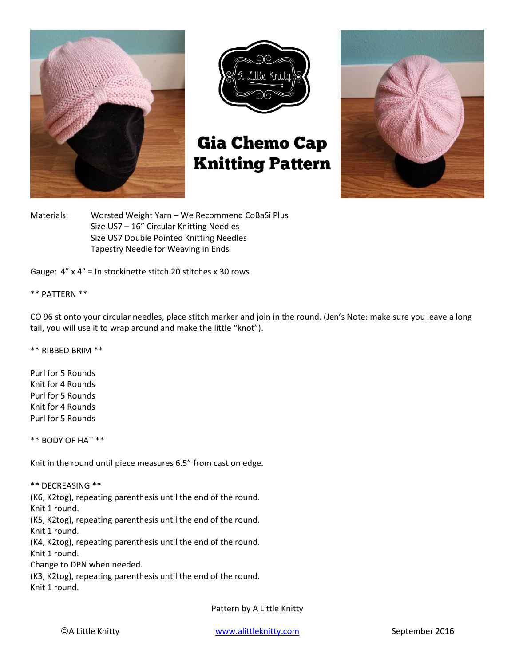



# **Gia Chemo Cap Knitting Pattern**



Materials: Worsted Weight Yarn – We Recommend CoBaSi Plus Size US7 – 16" Circular Knitting Needles Size US7 Double Pointed Knitting Needles Tapestry Needle for Weaving in Ends

Gauge: 4" x 4" = In stockinette stitch 20 stitches x 30 rows

### \*\* PATTERN \*\*

CO 96 st onto your circular needles, place stitch marker and join in the round. (Jen's Note: make sure you leave a long tail, you will use it to wrap around and make the little "knot").

\*\* RIBBED BRIM \*\*

Purl for 5 Rounds Knit for 4 Rounds Purl for 5 Rounds Knit for 4 Rounds Purl for 5 Rounds

\*\* BODY OF HAT \*\*

Knit in the round until piece measures 6.5" from cast on edge.

#### \*\* DECREASING \*\*

(K6, K2tog), repeating parenthesis until the end of the round.

Knit 1 round.

(K5, K2tog), repeating parenthesis until the end of the round.

Knit 1 round.

(K4, K2tog), repeating parenthesis until the end of the round. Knit 1 round.

Change to DPN when needed.

(K3, K2tog), repeating parenthesis until the end of the round.

Knit 1 round.

Pattern by A Little Knitty